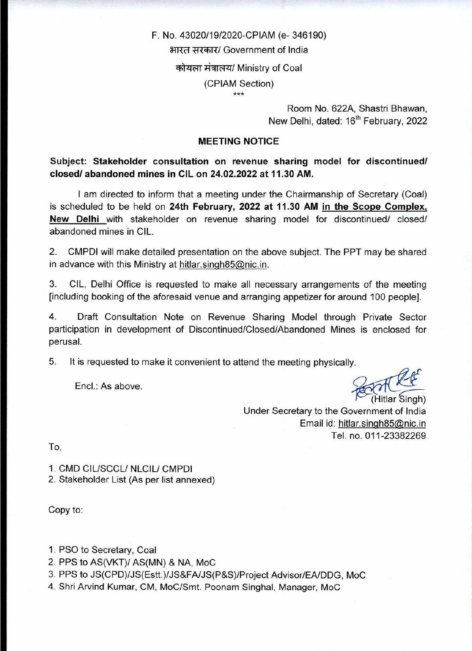# F. No. 43020/19/2020-CPIAM (e- 346190) भारत सरकार/ Government of India कोयला मंत्रालय/ Ministry of Coal (CPIAM Section)

Room No. 622A, Shastri Bhawan, New Delhi, dated: 16<sup>th</sup> February, 2022

#### **MEETING NOTICE**

**Subject: Stakeholder consultation on revenue sharing model for discontinued/ closed/ abandoned mines in CIL on 24.02.2022 at 11.30 AM.** 

I am directed to inform that a meeting under the Chairmanship of Secretary (Coal) is scheduled to be held on **24th February, 2022 at 11.30 AM in the Scope Complex, New Delhi** with stakeholder on revenue sharing model for discontinued/ closed/ abandoned mines in CIL.

2. CMPDI will make detailed presentation on the above subject. The PPT may be shared in advance with this Ministry at hitlar.singh $85@$ nic.in.

3. CIL, Delhi Office is requested to make all necessary arrangements of the meeting [including booking of the aforesaid venue and arranging appetizer for around 100 people].

4. Draft Consultation Note on Revenue Sharing Model through Private Sector participation in development of Discontinued/Closed/Abandoned Mines is enclosed for perusal.

5. It is requested to make it convenient to attend the meeting physically.

Encl.: As above.

(Hitlar Singh)  $45$ 

Under Secretary to the Government of India Email id: hitlar.singh85@nic.in Tel. no. 011-23382269

To,

1. CMD CIL/SCCL/ NLCIL/ CMPDI 2. Stakeholder List (As per list annexed)

Copy to:

1. PSO to Secretary, Coal

- 2. PPS to AS(VKT)/ AS(MN) & NA, MoC
- 3. PPS to JS(CPD)/JS(Estt.)/JS&FA/JS(P&S)/Project Advisor/EA/DDG, MoC

4. Shri Arvind Kumar, CM, MoC/Smt. Poonam Singhal, Manager, MoC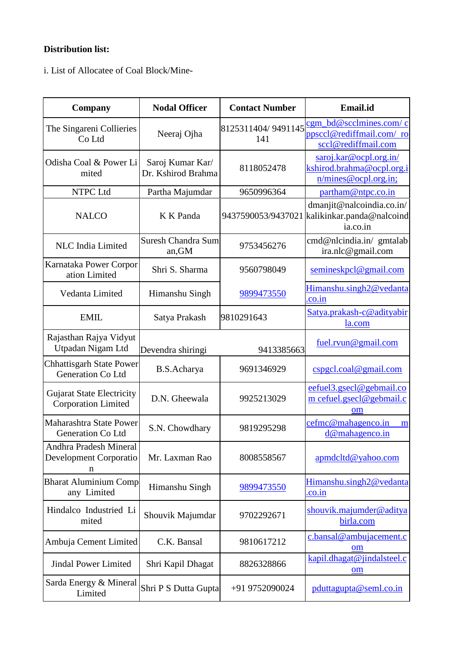## **Distribution list:**

i. List of Allocatee of Coal Block/Mine-

| Company                                                        | <b>Nodal Officer</b>                   | <b>Contact Number</b>     | Email.id                                                                              |
|----------------------------------------------------------------|----------------------------------------|---------------------------|---------------------------------------------------------------------------------------|
| The Singareni Collieries<br>Co Ltd                             | Neeraj Ojha                            | 8125311404/9491145<br>141 | cgm_bd@scclmines.com/c<br>ppsccl@rediffmail.com/ro<br>sccl@rediffmail.com             |
| Odisha Coal & Power Li<br>mited                                | Saroj Kumar Kar/<br>Dr. Kshirod Brahma | 8118052478                | saroj.kar@ocpl.org.in/<br>kshirod.brahma@ocpl.org.i<br>n/mines @ocol.org.in;          |
| NTPC Ltd                                                       | Partha Majumdar                        | 9650996364                | partham@ntpc.co.in                                                                    |
| <b>NALCO</b>                                                   | K K Panda                              |                           | dmanjit@nalcoindia.co.in/<br>9437590053/9437021 kalikinkar.panda@nalcoind<br>ia.co.in |
| <b>NLC</b> India Limited                                       | <b>Suresh Chandra Sum</b><br>an, GM    | 9753456276                | cmd@nlcindia.in/ gmtalab<br>ira.nlc@gmail.com                                         |
| Karnataka Power Corpor<br>ation Limited                        | Shri S. Sharma                         | 9560798049                | semineskpcl@gmail.com                                                                 |
| Vedanta Limited                                                | Himanshu Singh                         | 9899473550                | Himanshu.singh2@vedanta<br>.co.in                                                     |
| <b>EMIL</b>                                                    | Satya Prakash                          | 9810291643                | Satya.prakash-c@adityabir<br>la.com                                                   |
| Rajasthan Rajya Vidyut<br>Utpadan Nigam Ltd                    | Devendra shiringi                      | 9413385663                | fuel.rvun@gmail.com                                                                   |
| <b>Chhattisgarh State Power</b><br>Generation Co Ltd           | B.S.Acharya                            | 9691346929                | cspgel.coal@gmail.com                                                                 |
| <b>Gujarat State Electricity</b><br><b>Corporation Limited</b> | D.N. Gheewala                          | 9925213029                | eefuel3.gsecl@gebmail.co<br>m cefuel.gsecl@gebmail.c<br><b>om</b>                     |
| Maharashtra State Power<br>Generation Co Ltd                   | S.N. Chowdhary                         | 9819295298                | cefmc@mahagenco.in<br>m<br>$d$ @mahagenco.in                                          |
| Andhra Pradesh Mineral<br>Development Corporatio<br>n          | Mr. Laxman Rao                         | 8008558567                | apmdcltd@yahoo.com                                                                    |
| <b>Bharat Aluminium Comp</b><br>any Limited                    | Himanshu Singh                         | 9899473550                | Himanshu.singh2@vedanta<br><u>.co</u> .in                                             |
| Hindalco Industried Li<br>mited                                | Shouvik Majumdar                       | 9702292671                | shouvik.majumder@aditya<br>birla.com                                                  |
| Ambuja Cement Limited                                          | C.K. Bansal                            | 9810617212                | c.bansal@ambujacement.c<br>om                                                         |
| <b>Jindal Power Limited</b>                                    | Shri Kapil Dhagat                      | 8826328866                | kapil.dhagat@jindalsteel.c<br>om                                                      |
| Sarda Energy & Mineral<br>Limited                              | Shri P S Dutta Gupta                   | +91 9752090024            | pduttagupta@seml.co.in                                                                |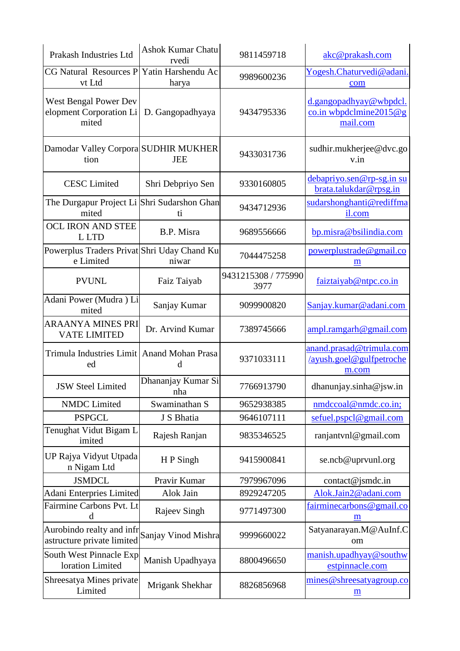| Prakash Industries Ltd                                    | <b>Ashok Kumar Chatu</b><br>rvedi | 9811459718                  | akc@prakash.com                                                                        |
|-----------------------------------------------------------|-----------------------------------|-----------------------------|----------------------------------------------------------------------------------------|
| <b>CG Natural Resources P</b><br>vt Ltd                   | Yatin Harshendu Ac<br>harya       | 9989600236                  | Yogesh.Chaturvedi@adani.<br>com                                                        |
| West Bengal Power Dev<br>elopment Corporation Li<br>mited | D. Gangopadhyaya                  | 9434795336                  | d.gangopadhyay@wbpdcl.<br>$\frac{\text{co.in}{\text{wbpdclmine}}}{2015@g}$<br>mail.com |
| Damodar Valley Corpora SUDHIR MUKHER<br>tion              | <b>JEE</b>                        | 9433031736                  | sudhir.mukherjee@dvc.go<br>v.in                                                        |
| <b>CESC</b> Limited                                       | Shri Debpriyo Sen                 | 9330160805                  | debapriyo.sen@rp-sg.in su<br>brata.talukdar@rpsg.in                                    |
| The Durgapur Project Li<br>mited                          | Shri Sudarshon Ghan<br>ti.        | 9434712936                  | sudarshonghanti@rediffma<br>il.com                                                     |
| <b>OCL IRON AND STEE</b><br>L LTD                         | B.P. Misra                        | 9689556666                  | bp.misra@bsilindia.com                                                                 |
| Powerplus Traders Privat Shri Uday Chand Ku<br>e Limited  | niwar                             | 7044475258                  | powerplustrade@gmail.co<br>m                                                           |
| <b>PVUNL</b>                                              | Faiz Taiyab                       | 9431215308 / 775990<br>3977 | faiztaiyab@ntpc.co.in                                                                  |
| Adani Power (Mudra) Li<br>mited                           | Sanjay Kumar                      | 9099900820                  | Sanjay.kumar@adani.com                                                                 |
| <b>ARAANYA MINES PRI</b><br><b>VATE LIMITED</b>           | Dr. Arvind Kumar                  | 7389745666                  | ampl.random@gmail.com                                                                  |
| Trimula Industries Limit Anand Mohan Prasa<br>ed          | d                                 | 9371033111                  | anand.prasad@trimula.com<br>/ayush.goel@gulfpetroche<br>m.com                          |
| <b>JSW Steel Limited</b>                                  | Dhananjay Kumar Si<br>nha         | 7766913790                  | dhanunjay.sinha@jsw.in                                                                 |
| <b>NMDC</b> Limited                                       | Swaminathan S                     | 9652938385                  | nmdccoal@nmdc.co.in;                                                                   |
| <b>PSPGCL</b>                                             | J S Bhatia                        | 9646107111                  | sefuel.pspcl@gmail.com                                                                 |
| Tenughat Vidut Bigam L<br>imited                          | Rajesh Ranjan                     | 9835346525                  | ranjantvnl@gmail.com                                                                   |
| UP Rajya Vidyut Utpada<br>n Nigam Ltd                     | HP Singh                          | 9415900841                  | se.ncb@uprvunl.org                                                                     |
| <b>JSMDCL</b>                                             | Pravir Kumar                      | 7979967096                  | contact@jsmdc.in                                                                       |
| <b>Adani Enterpries Limited</b>                           | Alok Jain                         | 8929247205                  | Alok.Jain2@adani.com                                                                   |
| Fairmine Carbons Pvt. Lt<br>d                             | Rajeev Singh                      | 9771497300                  | fairminecarbons@gmail.co<br>m                                                          |
| Aurobindo realty and infr<br>astructure private limited   | Sanjay Vinod Mishra               | 9999660022                  | Satyanarayan.M@AuInf.C<br>om                                                           |
| South West Pinnacle Exp<br>loration Limited               | Manish Upadhyaya                  | 8800496650                  | manish.upadhyay@southw<br>estpinnacle.com                                              |
| Shreesatya Mines private<br>Limited                       | Mrigank Shekhar                   | 8826856968                  | mines@shreesatyagroup.co<br>$\underline{\mathbf{m}}$                                   |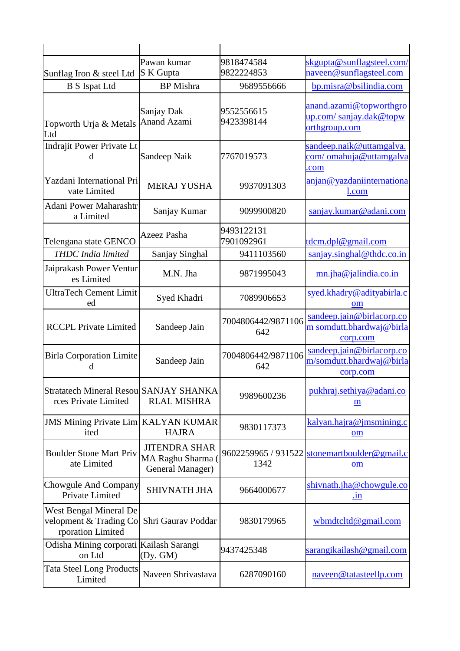|                                                                       | Pawan kumar                                                   | 9818474584                  | skgupta@sunflagsteel.com/                                          |
|-----------------------------------------------------------------------|---------------------------------------------------------------|-----------------------------|--------------------------------------------------------------------|
| Sunflag Iron & steel Ltd                                              | S K Gupta                                                     | 9822224853                  | naveen@sunflagsteel.com                                            |
| <b>B</b> S Ispat Ltd                                                  | <b>BP</b> Mishra                                              | 9689556666                  | bp.misra@bsilindia.com                                             |
| Topworth Urja & Metals<br>Ltd                                         | Sanjay Dak<br><b>Anand Azami</b>                              | 9552556615<br>9423398144    | anand.azami@topworthgro<br>up.com/sanjay.dak@topw<br>orthgroup.com |
| Indrajit Power Private Lt<br>d                                        | Sandeep Naik                                                  | 7767019573                  | sandeep.naik@uttamgalva.<br>com/omahuja@uttamgalva<br>.com         |
| Yazdani International Pri<br>vate Limited                             | <b>MERAJ YUSHA</b>                                            | 9937091303                  | anjan@yazdaniinternationa<br><u>l.com</u>                          |
| <b>Adani Power Maharashtr</b><br>a Limited                            | Sanjay Kumar                                                  | 9099900820                  | sanjay.kumar@adani.com                                             |
| Telengana state GENCO                                                 | Azeez Pasha                                                   | 9493122131<br>7901092961    | tdcm.dpl@gmail.com                                                 |
| THDC India limited                                                    | Sanjay Singhal                                                | 9411103560                  | sanjay.singhal@thdc.co.in                                          |
| Jaiprakash Power Ventur<br>es Limited                                 | M.N. Jha                                                      | 9871995043                  | mn.jha@jalindia.co.in                                              |
| <b>UltraTech Cement Limit</b><br>ed                                   | Syed Khadri                                                   | 7089906653                  | syed.khadry@adityabirla.c<br>om                                    |
| <b>RCCPL Private Limited</b>                                          | Sandeep Jain                                                  | 7004806442/9871106<br>642   | sandeep.jain@birlacorp.co<br>m somdutt.bhardwaj@birla<br>corp.com  |
| <b>Birla Corporation Limite</b><br>d                                  | Sandeep Jain                                                  | 7004806442/9871106<br>642   | sandeep.jain@birlacorp.co<br>m/somdutt.bhardwaj@birla<br>corp.com  |
| Stratatech Mineral Resou SANJAY SHANKA<br>rces Private Limited        | <b>RLAL MISHRA</b>                                            | 9989600236                  | pukhraj.sethiya@adani.co<br>m                                      |
| <b>JMS Mining Private Lim KALYAN KUMAR</b><br>ited                    | <b>HAJRA</b>                                                  | 9830117373                  | kalyan.hajra@jmsmining.c<br>om                                     |
| <b>Boulder Stone Mart Priv</b><br>ate Limited                         | <b>JITENDRA SHAR</b><br>MA Raghu Sharma (<br>General Manager) | 9602259965 / 931522<br>1342 | stonemartboulder@gmail.c<br>om                                     |
| Chowgule And Company<br>Private Limited                               | <b>SHIVNATH JHA</b>                                           | 9664000677                  | shivnath.jha@chowgule.co<br>.1n                                    |
| West Bengal Mineral De<br>velopment & Trading Co<br>rporation Limited | Shri Gaurav Poddar                                            | 9830179965                  | $wbmdctd$ @gmail.com                                               |
| Odisha Mining corporati Kailash Sarangi<br>on Ltd                     | (Dy. GM)                                                      | 9437425348                  | sarangikailash@gmail.com                                           |
| <b>Tata Steel Long Products</b><br>Limited                            | Naveen Shrivastava                                            | 6287090160                  | naveen@tatasteellp.com                                             |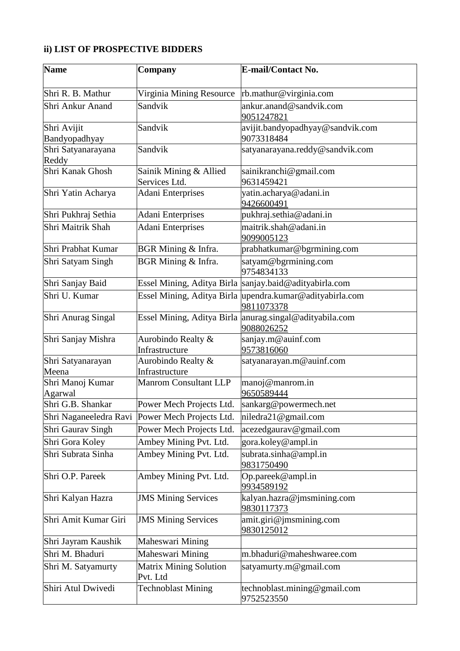### **ii) LIST OF PROSPECTIVE BIDDERS**

| <b>Name</b>                  | Company                                   | <b>E-mail/Contact No.</b>                                              |
|------------------------------|-------------------------------------------|------------------------------------------------------------------------|
| Shri R. B. Mathur            | Virginia Mining Resource                  | rb.mathur@virginia.com                                                 |
| Shri Ankur Anand             | Sandvik                                   | ankur.anand@sandvik.com<br>9051247821                                  |
| Shri Avijit<br>Bandyopadhyay | Sandvik                                   | avijit.bandyopadhyay@sandvik.com<br>9073318484                         |
| Shri Satyanarayana<br>Reddy  | Sandvik                                   | satyanarayana.reddy@sandvik.com                                        |
| Shri Kanak Ghosh             | Sainik Mining & Allied<br>Services Ltd.   | sainikranchi@gmail.com<br>9631459421                                   |
| Shri Yatin Acharya           | <b>Adani Enterprises</b>                  | yatin.acharya@adani.in<br>9426600491                                   |
| Shri Pukhraj Sethia          | <b>Adani Enterprises</b>                  | pukhraj.sethia@adani.in                                                |
| Shri Maitrik Shah            | <b>Adani Enterprises</b>                  | maitrik.shah@adani.in<br>9099005123                                    |
| Shri Prabhat Kumar           | BGR Mining & Infra.                       | prabhatkumar@bgrmining.com                                             |
| Shri Satyam Singh            | BGR Mining & Infra.                       | satyam@bgrmining.com<br>9754834133                                     |
| Shri Sanjay Baid             |                                           | Essel Mining, Aditya Birla sanjay.baid@adityabirla.com                 |
| Shri U. Kumar                |                                           | Essel Mining, Aditya Birla upendra.kumar@adityabirla.com<br>9811073378 |
| Shri Anurag Singal           |                                           | Essel Mining, Aditya Birla anurag.singal@adityabila.com<br>9088026252  |
| Shri Sanjay Mishra           | Aurobindo Realty &<br>Infrastructure      | sanjay.m@auinf.com<br>9573816060                                       |
| Shri Satyanarayan<br>Meena   | Aurobindo Realty &<br>Infrastructure      | satyanarayan.m@auinf.com                                               |
| Shri Manoj Kumar<br>Agarwal  | <b>Manrom Consultant LLP</b>              | manoj@manrom.in<br>9650589444                                          |
| Shri G.B. Shankar            | Power Mech Projects Ltd.                  | sankarg@powermech.net                                                  |
| Shri Naganeeledra Ravi       | Power Mech Projects Ltd.                  | niledra21@gmail.com                                                    |
| Shri Gaurav Singh            | Power Mech Projects Ltd.                  | acezedgaurav@gmail.com                                                 |
| Shri Gora Koley              | Ambey Mining Pvt. Ltd.                    | gora.koley@ampl.in                                                     |
| Shri Subrata Sinha           | Ambey Mining Pvt. Ltd.                    | subrata.sinha@ampl.in<br>9831750490                                    |
| Shri O.P. Pareek             | Ambey Mining Pvt. Ltd.                    | Op.pareek@ampl.in<br>9934589192                                        |
| Shri Kalyan Hazra            | <b>JMS Mining Services</b>                | kalyan.hazra@jmsmining.com<br>9830117373                               |
| Shri Amit Kumar Giri         | <b>JMS Mining Services</b>                | amit.giri@jmsmining.com<br>9830125012                                  |
| Shri Jayram Kaushik          | Maheswari Mining                          |                                                                        |
| Shri M. Bhaduri              | Maheswari Mining                          | m.bhaduri@maheshwaree.com                                              |
| Shri M. Satyamurty           | <b>Matrix Mining Solution</b><br>Pvt. Ltd | satyamurty.m@gmail.com                                                 |
| Shiri Atul Dwivedi           | <b>Technoblast Mining</b>                 | technoblast.mining@gmail.com<br>9752523550                             |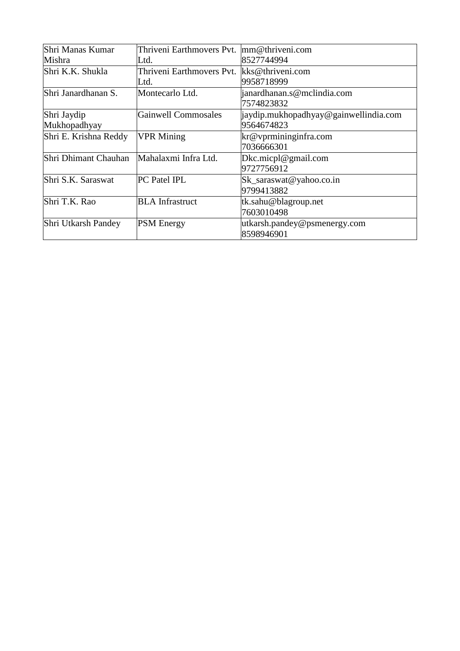| Shri Manas Kumar      | Thriveni Earthmovers Pvt. | $\text{mm@}$ thriveni.com             |
|-----------------------|---------------------------|---------------------------------------|
| Mishra                | Ltd.                      | 8527744994                            |
| Shri K.K. Shukla      | Thriveni Earthmovers Pvt. | kks@thriveni.com                      |
|                       | Ltd.                      | 9958718999                            |
| Shri Janardhanan S.   | Montecarlo Ltd.           | janardhanan.s@mclindia.com            |
|                       |                           | 7574823832                            |
| Shri Jaydip           | Gainwell Commosales       | jaydip.mukhopadhyay@gainwellindia.com |
| Mukhopadhyay          |                           | 9564674823                            |
| Shri E. Krishna Reddy | <b>VPR Mining</b>         | kr@vprmininginfra.com                 |
|                       |                           | 7036666301                            |
| Shri Dhimant Chauhan  | Mahalaxmi Infra Ltd.      | Dkc.micpl@gmail.com                   |
|                       |                           | 9727756912                            |
| Shri S.K. Saraswat    | PC Patel IPL              | Sk_saraswat@yahoo.co.in               |
|                       |                           | 9799413882                            |
| Shri T.K. Rao         | <b>BLA</b> Infrastruct    | tk.sahu@blagroup.net                  |
|                       |                           | 7603010498                            |
| Shri Utkarsh Pandey   | <b>PSM</b> Energy         | utkarsh.pandey@psmenergy.com          |
|                       |                           | 8598946901                            |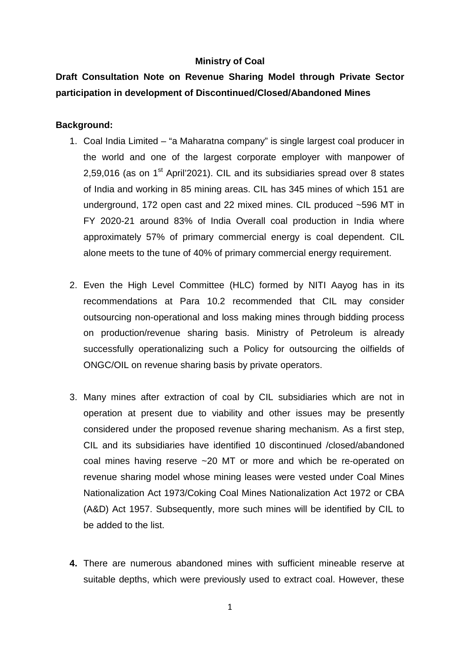### **Ministry of Coal**

# **Draft Consultation Note on Revenue Sharing Model through Private Sector participation in development of Discontinued/Closed/Abandoned Mines**

### **Background:**

- 1. Coal India Limited "a Maharatna company" is single largest coal producer in the world and one of the largest corporate employer with manpower of 2,59,016 (as on  $1<sup>st</sup>$  April'2021). CIL and its subsidiaries spread over 8 states of India and working in 85 mining areas. CIL has 345 mines of which 151 are underground, 172 open cast and 22 mixed mines. CIL produced ~596 MT in FY 2020-21 around 83% of India Overall coal production in India where approximately 57% of primary commercial energy is coal dependent. CIL alone meets to the tune of 40% of primary commercial energy requirement.
- 2. Even the High Level Committee (HLC) formed by NITI Aayog has in its recommendations at Para 10.2 recommended that CIL may consider outsourcing non-operational and loss making mines through bidding process on production/revenue sharing basis. Ministry of Petroleum is already successfully operationalizing such a Policy for outsourcing the oilfields of ONGC/OIL on revenue sharing basis by private operators.
- 3. Many mines after extraction of coal by CIL subsidiaries which are not in operation at present due to viability and other issues may be presently considered under the proposed revenue sharing mechanism. As a first step, CIL and its subsidiaries have identified 10 discontinued /closed/abandoned coal mines having reserve ~20 MT or more and which be re-operated on revenue sharing model whose mining leases were vested under Coal Mines Nationalization Act 1973/Coking Coal Mines Nationalization Act 1972 or CBA (A&D) Act 1957. Subsequently, more such mines will be identified by CIL to be added to the list.
- **4.** There are numerous abandoned mines with sufficient mineable reserve at suitable depths, which were previously used to extract coal. However, these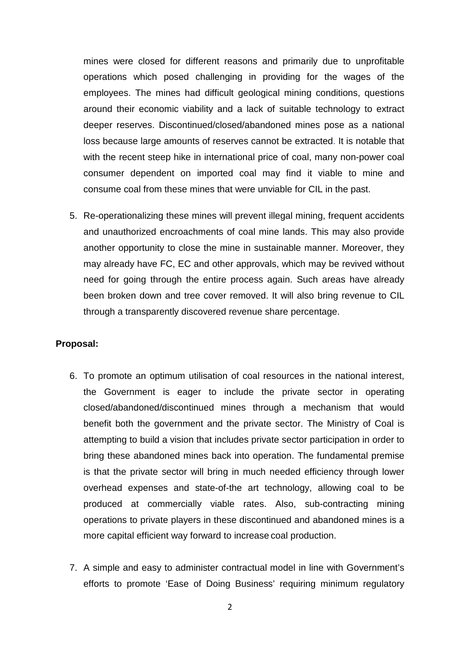mines were closed for different reasons and primarily due to unprofitable operations which posed challenging in providing for the wages of the employees. The mines had difficult geological mining conditions, questions around their economic viability and a lack of suitable technology to extract deeper reserves. Discontinued/closed/abandoned mines pose as a national loss because large amounts of reserves cannot be extracted. It is notable that with the recent steep hike in international price of coal, many non-power coal consumer dependent on imported coal may find it viable to mine and consume coal from these mines that were unviable for CIL in the past.

5. Re-operationalizing these mines will prevent illegal mining, frequent accidents and unauthorized encroachments of coal mine lands. This may also provide another opportunity to close the mine in sustainable manner. Moreover, they may already have FC, EC and other approvals, which may be revived without need for going through the entire process again. Such areas have already been broken down and tree cover removed. It will also bring revenue to CIL through a transparently discovered revenue share percentage.

### **Proposal:**

- 6. To promote an optimum utilisation of coal resources in the national interest, the Government is eager to include the private sector in operating closed/abandoned/discontinued mines through a mechanism that would benefit both the government and the private sector. The Ministry of Coal is attempting to build a vision that includes private sector participation in order to bring these abandoned mines back into operation. The fundamental premise is that the private sector will bring in much needed efficiency through lower overhead expenses and state-of-the art technology, allowing coal to be produced at commercially viable rates. Also, sub-contracting mining operations to private players in these discontinued and abandoned mines is a more capital efficient way forward to increase coal production.
- 7. A simple and easy to administer contractual model in line with Government's efforts to promote 'Ease of Doing Business' requiring minimum regulatory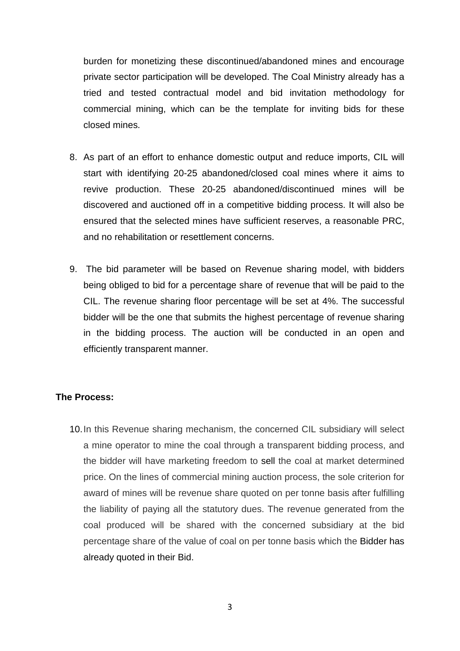burden for monetizing these discontinued/abandoned mines and encourage private sector participation will be developed. The Coal Ministry already has a tried and tested contractual model and bid invitation methodology for commercial mining, which can be the template for inviting bids for these closed mines.

- 8. As part of an effort to enhance domestic output and reduce imports, CIL will start with identifying 20-25 abandoned/closed coal mines where it aims to revive production. These 20-25 abandoned/discontinued mines will be discovered and auctioned off in a competitive bidding process. It will also be ensured that the selected mines have sufficient reserves, a reasonable PRC, and no rehabilitation or resettlement concerns.
- 9. The bid parameter will be based on Revenue sharing model, with bidders being obliged to bid for a percentage share of revenue that will be paid to the CIL. The revenue sharing floor percentage will be set at 4%. The successful bidder will be the one that submits the highest percentage of revenue sharing in the bidding process. The auction will be conducted in an open and efficiently transparent manner.

### **The Process:**

10.In this Revenue sharing mechanism, the concerned CIL subsidiary will select a mine operator to mine the coal through a transparent bidding process, and the bidder will have marketing freedom to sell the coal at market determined price. On the lines of commercial mining auction process, the sole criterion for award of mines will be revenue share quoted on per tonne basis after fulfilling the liability of paying all the statutory dues. The revenue generated from the coal produced will be shared with the concerned subsidiary at the bid percentage share of the value of coal on per tonne basis which the Bidder has already quoted in their Bid.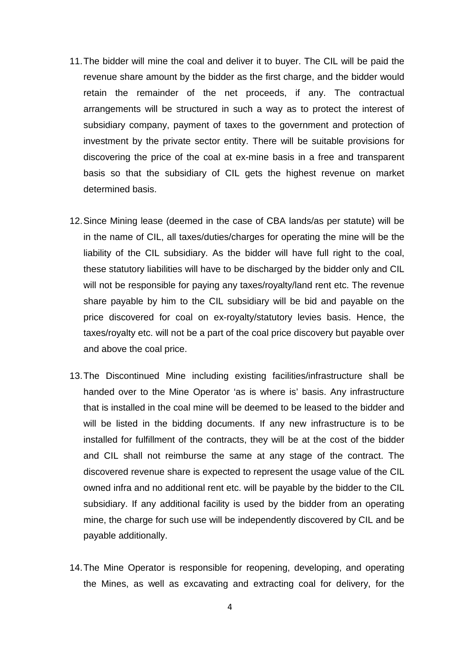- 11.The bidder will mine the coal and deliver it to buyer. The CIL will be paid the revenue share amount by the bidder as the first charge, and the bidder would retain the remainder of the net proceeds, if any. The contractual arrangements will be structured in such a way as to protect the interest of subsidiary company, payment of taxes to the government and protection of investment by the private sector entity. There will be suitable provisions for discovering the price of the coal at ex-mine basis in a free and transparent basis so that the subsidiary of CIL gets the highest revenue on market determined basis.
- 12.Since Mining lease (deemed in the case of CBA lands/as per statute) will be in the name of CIL, all taxes/duties/charges for operating the mine will be the liability of the CIL subsidiary. As the bidder will have full right to the coal, these statutory liabilities will have to be discharged by the bidder only and CIL will not be responsible for paying any taxes/royalty/land rent etc. The revenue share payable by him to the CIL subsidiary will be bid and payable on the price discovered for coal on ex-royalty/statutory levies basis. Hence, the taxes/royalty etc. will not be a part of the coal price discovery but payable over and above the coal price.
- 13.The Discontinued Mine including existing facilities/infrastructure shall be handed over to the Mine Operator 'as is where is' basis. Any infrastructure that is installed in the coal mine will be deemed to be leased to the bidder and will be listed in the bidding documents. If any new infrastructure is to be installed for fulfillment of the contracts, they will be at the cost of the bidder and CIL shall not reimburse the same at any stage of the contract. The discovered revenue share is expected to represent the usage value of the CIL owned infra and no additional rent etc. will be payable by the bidder to the CIL subsidiary. If any additional facility is used by the bidder from an operating mine, the charge for such use will be independently discovered by CIL and be payable additionally.
- 14.The Mine Operator is responsible for reopening, developing, and operating the Mines, as well as excavating and extracting coal for delivery, for the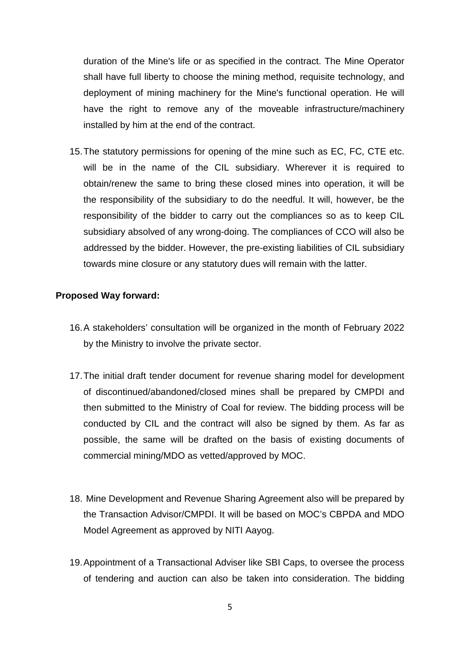duration of the Mine's life or as specified in the contract. The Mine Operator shall have full liberty to choose the mining method, requisite technology, and deployment of mining machinery for the Mine's functional operation. He will have the right to remove any of the moveable infrastructure/machinery installed by him at the end of the contract.

15.The statutory permissions for opening of the mine such as EC, FC, CTE etc. will be in the name of the CIL subsidiary. Wherever it is required to obtain/renew the same to bring these closed mines into operation, it will be the responsibility of the subsidiary to do the needful. It will, however, be the responsibility of the bidder to carry out the compliances so as to keep CIL subsidiary absolved of any wrong-doing. The compliances of CCO will also be addressed by the bidder. However, the pre-existing liabilities of CIL subsidiary towards mine closure or any statutory dues will remain with the latter.

### **Proposed Way forward:**

- 16.A stakeholders' consultation will be organized in the month of February 2022 by the Ministry to involve the private sector.
- 17.The initial draft tender document for revenue sharing model for development of discontinued/abandoned/closed mines shall be prepared by CMPDI and then submitted to the Ministry of Coal for review. The bidding process will be conducted by CIL and the contract will also be signed by them. As far as possible, the same will be drafted on the basis of existing documents of commercial mining/MDO as vetted/approved by MOC.
- 18. Mine Development and Revenue Sharing Agreement also will be prepared by the Transaction Advisor/CMPDI. It will be based on MOC's CBPDA and MDO Model Agreement as approved by NITI Aayog.
- 19. Appointment of a Transactional Adviser like SBI Caps, to oversee the process of tendering and auction can also be taken into consideration. The bidding